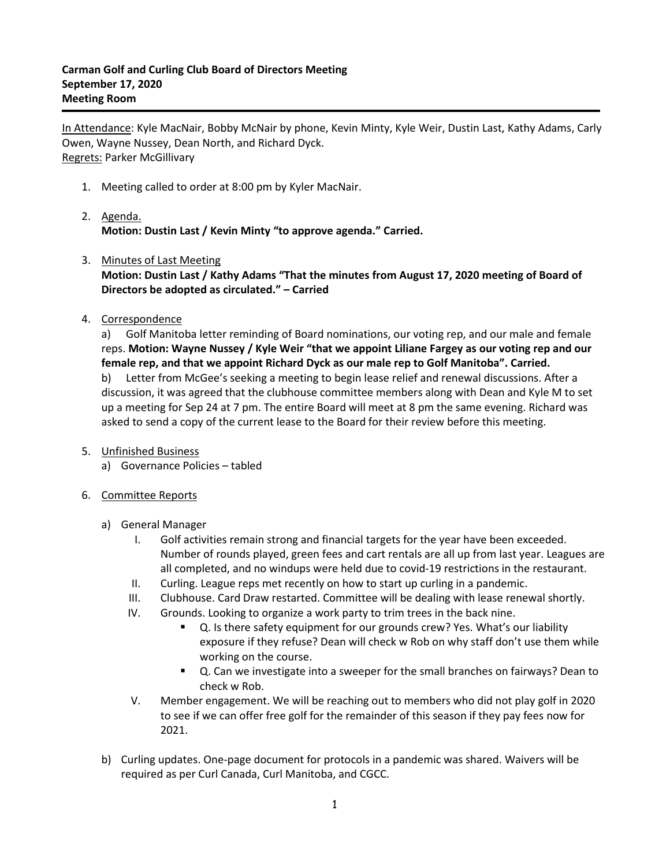In Attendance: Kyle MacNair, Bobby McNair by phone, Kevin Minty, Kyle Weir, Dustin Last, Kathy Adams, Carly Owen, Wayne Nussey, Dean North, and Richard Dyck. Regrets: Parker McGillivary

- 1. Meeting called to order at 8:00 pm by Kyler MacNair.
- 2. Agenda. **Motion: Dustin Last / Kevin Minty "to approve agenda." Carried.**
- 3. Minutes of Last Meeting **Motion: Dustin Last / Kathy Adams "That the minutes from August 17, 2020 meeting of Board of Directors be adopted as circulated." – Carried**
- 4. Correspondence

a) Golf Manitoba letter reminding of Board nominations, our voting rep, and our male and female reps. **Motion: Wayne Nussey / Kyle Weir "that we appoint Liliane Fargey as our voting rep and our female rep, and that we appoint Richard Dyck as our male rep to Golf Manitoba". Carried.** b) Letter from McGee's seeking a meeting to begin lease relief and renewal discussions. After a discussion, it was agreed that the clubhouse committee members along with Dean and Kyle M to set up a meeting for Sep 24 at 7 pm. The entire Board will meet at 8 pm the same evening. Richard was asked to send a copy of the current lease to the Board for their review before this meeting.

- 5. Unfinished Business
	- a) Governance Policies tabled
- 6. Committee Reports
	- a) General Manager
		- I. Golf activities remain strong and financial targets for the year have been exceeded. Number of rounds played, green fees and cart rentals are all up from last year. Leagues are all completed, and no windups were held due to covid-19 restrictions in the restaurant.
		- II. Curling. League reps met recently on how to start up curling in a pandemic.
		- III. Clubhouse. Card Draw restarted. Committee will be dealing with lease renewal shortly.
		- IV. Grounds. Looking to organize a work party to trim trees in the back nine.
			- Q. Is there safety equipment for our grounds crew? Yes. What's our liability exposure if they refuse? Dean will check w Rob on why staff don't use them while working on the course.
			- Q. Can we investigate into a sweeper for the small branches on fairways? Dean to check w Rob.
		- V. Member engagement. We will be reaching out to members who did not play golf in 2020 to see if we can offer free golf for the remainder of this season if they pay fees now for 2021.
	- b) Curling updates. One-page document for protocols in a pandemic was shared. Waivers will be required as per Curl Canada, Curl Manitoba, and CGCC.